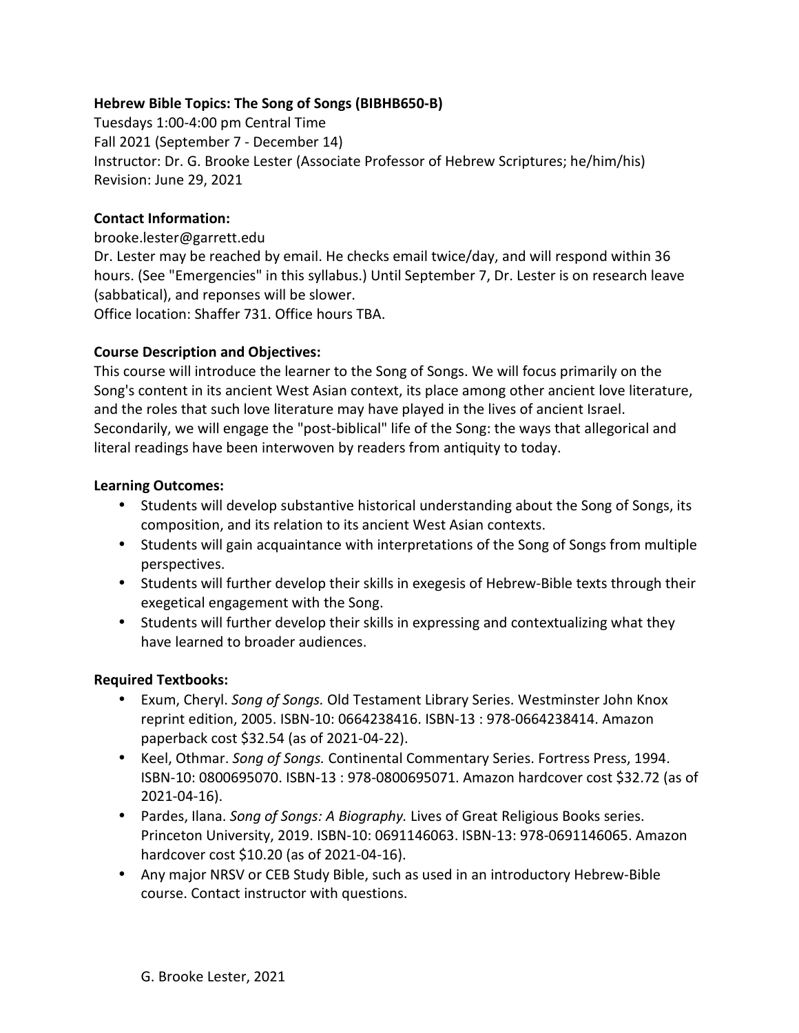# **Hebrew Bible Topics: The Song of Songs (BIBHB650-B)**

Tuesdays 1:00-4:00 pm Central Time Fall 2021 (September 7 - December 14) Instructor: Dr. G. Brooke Lester (Associate Professor of Hebrew Scriptures; he/him/his) Revision: June 29, 2021

# **Contact Information:**

brooke.lester@garrett.edu

Dr. Lester may be reached by email. He checks email twice/day, and will respond within 36 hours. (See "Emergencies" in this syllabus.) Until September 7, Dr. Lester is on research leave (sabbatical), and reponses will be slower. Office location: Shaffer 731. Office hours TBA.

# **Course Description and Objectives:**

This course will introduce the learner to the Song of Songs. We will focus primarily on the Song's content in its ancient West Asian context, its place among other ancient love literature, and the roles that such love literature may have played in the lives of ancient Israel. Secondarily, we will engage the "post-biblical" life of the Song: the ways that allegorical and literal readings have been interwoven by readers from antiquity to today.

# **Learning Outcomes:**

- Students will develop substantive historical understanding about the Song of Songs, its composition, and its relation to its ancient West Asian contexts.
- Students will gain acquaintance with interpretations of the Song of Songs from multiple perspectives.
- Students will further develop their skills in exegesis of Hebrew-Bible texts through their exegetical engagement with the Song.
- Students will further develop their skills in expressing and contextualizing what they have learned to broader audiences.

# **Required Textbooks:**

- Exum, Cheryl. *Song of Songs.* Old Testament Library Series. Westminster John Knox reprint edition, 2005. ISBN-10: 0664238416. ISBN-13 : 978-0664238414. Amazon paperback cost \$32.54 (as of 2021-04-22).
- Keel, Othmar. *Song of Songs.* Continental Commentary Series. Fortress Press, 1994. ISBN-10: 0800695070. ISBN-13 : 978-0800695071. Amazon hardcover cost \$32.72 (as of 2021-04-16).
- Pardes, Ilana. *Song of Songs: A Biography.* Lives of Great Religious Books series. Princeton University, 2019. ISBN-10: 0691146063. ISBN-13: 978-0691146065. Amazon hardcover cost \$10.20 (as of 2021-04-16).
- Any major NRSV or CEB Study Bible, such as used in an introductory Hebrew-Bible course. Contact instructor with questions.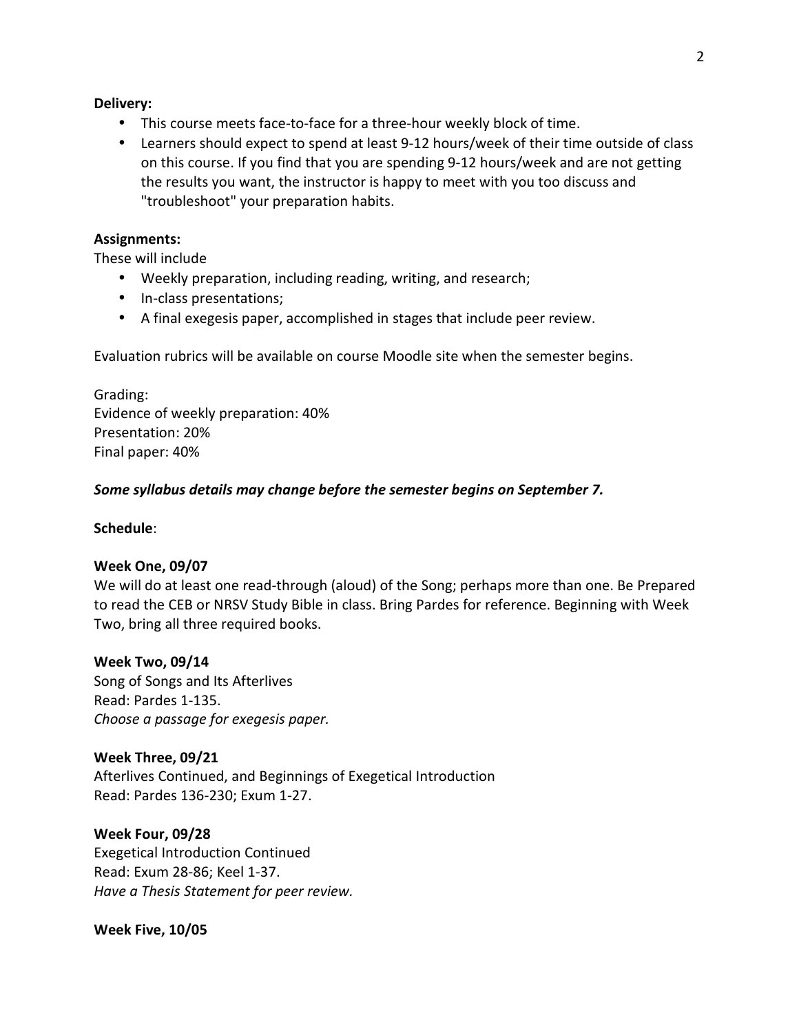#### **Delivery:**

- This course meets face-to-face for a three-hour weekly block of time.
- Learners should expect to spend at least 9-12 hours/week of their time outside of class on this course. If you find that you are spending 9-12 hours/week and are not getting the results you want, the instructor is happy to meet with you too discuss and "troubleshoot" your preparation habits.

### **Assignments:**

These will include

- Weekly preparation, including reading, writing, and research;
- In-class presentations;
- A final exegesis paper, accomplished in stages that include peer review.

Evaluation rubrics will be available on course Moodle site when the semester begins.

Grading: Evidence of weekly preparation: 40% Presentation: 20% Final paper: 40%

## *Some syllabus details may change before the semester begins on September 7.*

## **Schedule**:

### **Week One, 09/07**

We will do at least one read-through (aloud) of the Song; perhaps more than one. Be Prepared to read the CEB or NRSV Study Bible in class. Bring Pardes for reference. Beginning with Week Two, bring all three required books.

### **Week Two, 09/14**

Song of Songs and Its Afterlives Read: Pardes 1-135. *Choose a passage for exegesis paper.* 

### **Week Three, 09/21**

Afterlives Continued, and Beginnings of Exegetical Introduction Read: Pardes 136-230; Exum 1-27.

## **Week Four, 09/28**

Exegetical Introduction Continued Read: Exum 28-86; Keel 1-37. *Have a Thesis Statement for peer review.* 

**Week Five, 10/05**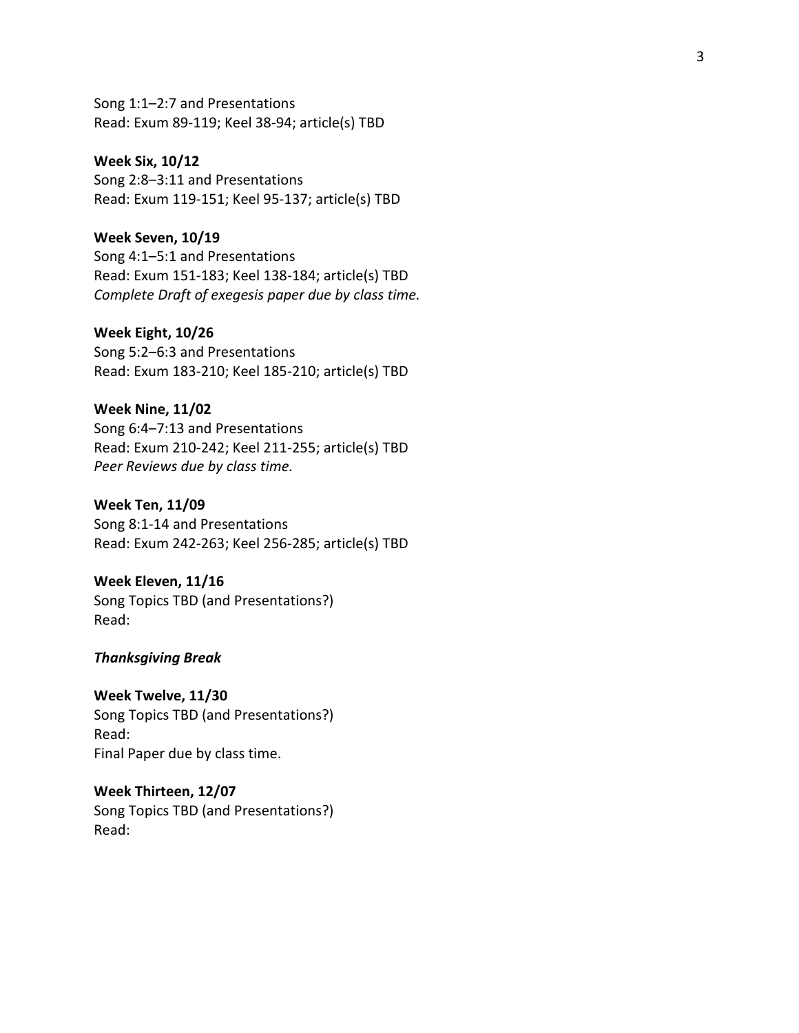Song 1:1–2:7 and Presentations Read: Exum 89-119; Keel 38-94; article(s) TBD

## **Week Six, 10/12**  Song 2:8–3:11 and Presentations Read: Exum 119-151; Keel 95-137; article(s) TBD

### **Week Seven, 10/19**

Song 4:1–5:1 and Presentations Read: Exum 151-183; Keel 138-184; article(s) TBD *Complete Draft of exegesis paper due by class time.*

### **Week Eight, 10/26**

Song 5:2–6:3 and Presentations Read: Exum 183-210; Keel 185-210; article(s) TBD

#### **Week Nine, 11/02**

Song 6:4–7:13 and Presentations Read: Exum 210-242; Keel 211-255; article(s) TBD *Peer Reviews due by class time.*

#### **Week Ten, 11/09**

Song 8:1-14 and Presentations Read: Exum 242-263; Keel 256-285; article(s) TBD

### **Week Eleven, 11/16**

Song Topics TBD (and Presentations?) Read:

### *Thanksgiving Break*

## **Week Twelve, 11/30**

Song Topics TBD (and Presentations?) Read: Final Paper due by class time.

**Week Thirteen, 12/07**  Song Topics TBD (and Presentations?) Read: